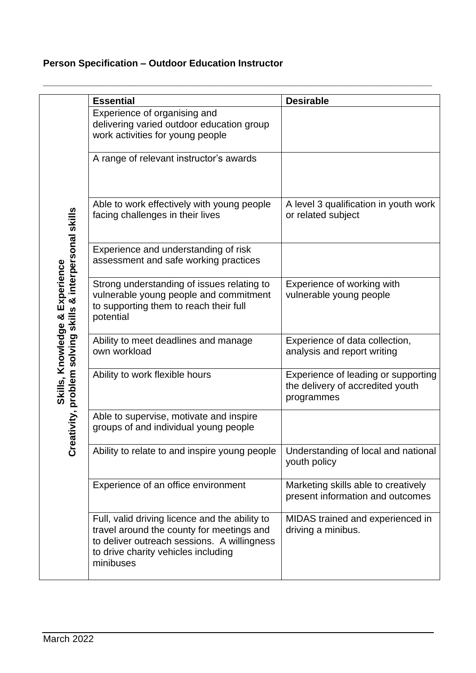## **Person Specification – Outdoor Education Instructor**

|                                                       | <b>Essential</b>                                                                                                                                                                               | <b>Desirable</b>                                                                      |
|-------------------------------------------------------|------------------------------------------------------------------------------------------------------------------------------------------------------------------------------------------------|---------------------------------------------------------------------------------------|
| tivity, problem solving skills & interpersonal skills | Experience of organising and<br>delivering varied outdoor education group<br>work activities for young people                                                                                  |                                                                                       |
|                                                       | A range of relevant instructor's awards                                                                                                                                                        |                                                                                       |
|                                                       | Able to work effectively with young people<br>facing challenges in their lives                                                                                                                 | A level 3 qualification in youth work<br>or related subject                           |
|                                                       | Experience and understanding of risk<br>assessment and safe working practices                                                                                                                  |                                                                                       |
| Skills, Knowledge & Experience                        | Strong understanding of issues relating to<br>vulnerable young people and commitment<br>to supporting them to reach their full<br>potential                                                    | Experience of working with<br>vulnerable young people                                 |
|                                                       | Ability to meet deadlines and manage<br>own workload                                                                                                                                           | Experience of data collection,<br>analysis and report writing                         |
|                                                       | Ability to work flexible hours                                                                                                                                                                 | Experience of leading or supporting<br>the delivery of accredited youth<br>programmes |
|                                                       | Able to supervise, motivate and inspire<br>groups of and individual young people                                                                                                               |                                                                                       |
| Creat                                                 | Ability to relate to and inspire young people                                                                                                                                                  | Understanding of local and national<br>youth policy                                   |
|                                                       | Experience of an office environment                                                                                                                                                            | Marketing skills able to creatively<br>present information and outcomes               |
|                                                       | Full, valid driving licence and the ability to<br>travel around the county for meetings and<br>to deliver outreach sessions. A willingness<br>to drive charity vehicles including<br>minibuses | MIDAS trained and experienced in<br>driving a minibus.                                |